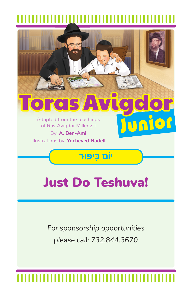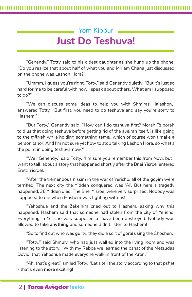## $\blacksquare$  Yom Kippur  $\blacksquare$ **Just Do Teshuva!**

"Genendy," Totty said to his oldest daughter as she hung up the phone. "Do you realize that about half of what you and Miriam Chana just discussed on the phone was Lashon Hora?*"*

"Ummm, I guess you're right, Totty," said Genendy quietly. "But it's just so hard for me to be careful with how I speak about others. What am I supposed to do?"

"We can discuss some ideas to help you with Shmiras Halashon," answered Totty. "But first, you need to do *teshuva* and say you're sorry to Hashem."

"But Totty," Genendy said. "How can I do *teshuva* first? Morah Tziporah told us that doing *teshuva* before getting rid of the *aveirah* itself, is like going to the *mikveh* while holding something *tamei*, which of course won't make a person *tahor*. And I'm not sure yet how to stop talking Lashon Hora, so what's the point in doing *teshuva* now?"

"Well Genendy," said Totty. "I'm sure you remember this from Novi, but I want to talk about a story that happened shortly after the Bnei Yisroel entered Eretz Yisroel.

"After the tremendous *nissim* in the war of Yericho, all of the *goyim* were terrified. The next city the Yidden conquered was 'Ai'. But here a tragedy happened, 36 Yidden died! The Bnei Yisroel were very surprised. Nobody was supposed to die when Hashem was fighting with us!

"Yehoshua and the Zekeinim cried out to Hashem, asking why this happened. Hashem said that someone had stolen from the city of Yericho. Everything in Yericho was supposed to have been destroyed. Nobody was allowed to take **anything** and someone didn't listen to Hashem!

"So to find out who was guilty, they did a sort of *goral* using the Choshen."

"Totty," said Shmuly, who had just walked into the living room and was listening to the story. "With my Rebbe we learned the *pshat* of the Metzudas Dovid, that Yehoshua made everyone walk in front of the Aron."

"Ah, that's great!" smiled Totty. "Let's tell the story according to that *pshat -* that's even **more** exciting!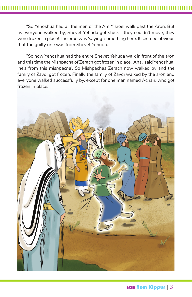"So Yehoshua had all the men of the Am Yisroel walk past the Aron. But as everyone walked by, Shevet Yehuda got stuck - they couldn't move, they were frozen in place! The *aron* was 'saying' something here. It seemed obvious that the guilty one was from Shevet Yehuda.

"So now Yehoshua had the entire Shevet Yehuda walk in front of the *aron*  and this time the Mishpacha of Zerach got frozen in place. 'Aha,' said Yehoshua, 'he's from this *mishpacha'.* So Mishpachas Zerach now walked by and the family of Zavdi got frozen. Finally the family of Zavdi walked by the *aron* and everyone walked successfully by, except for one man named Achan, who got frozen in place.



**Ias Yom Kippur | 3**